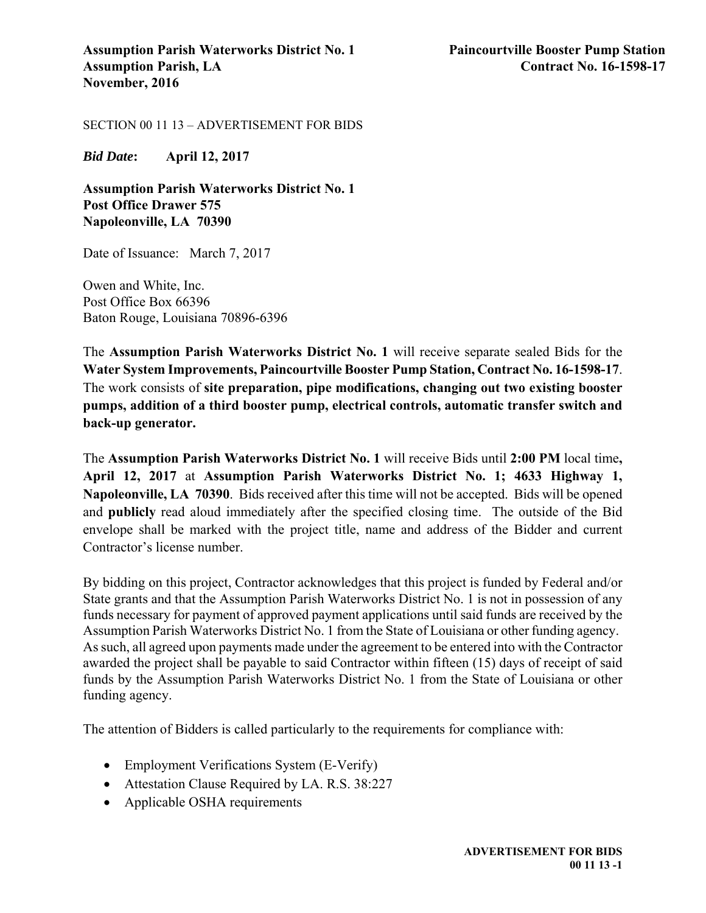SECTION 00 11 13 – ADVERTISEMENT FOR BIDS

*Bid Date***: April 12, 2017**

**Assumption Parish Waterworks District No. 1 Post Office Drawer 575 Napoleonville, LA 70390** 

Date of Issuance: March 7, 2017

Owen and White, Inc. Post Office Box 66396 Baton Rouge, Louisiana 70896-6396

The **Assumption Parish Waterworks District No. 1** will receive separate sealed Bids for the **Water System Improvements, Paincourtville Booster Pump Station, Contract No. 16-1598-17**. The work consists of **site preparation, pipe modifications, changing out two existing booster pumps, addition of a third booster pump, electrical controls, automatic transfer switch and back-up generator.** 

The **Assumption Parish Waterworks District No. 1** will receive Bids until **2:00 PM** local time**, April 12, 2017** at **Assumption Parish Waterworks District No. 1; 4633 Highway 1, Napoleonville, LA 70390**. Bids received after this time will not be accepted. Bids will be opened and **publicly** read aloud immediately after the specified closing time. The outside of the Bid envelope shall be marked with the project title, name and address of the Bidder and current Contractor's license number.

By bidding on this project, Contractor acknowledges that this project is funded by Federal and/or State grants and that the Assumption Parish Waterworks District No. 1 is not in possession of any funds necessary for payment of approved payment applications until said funds are received by the Assumption Parish Waterworks District No. 1 from the State of Louisiana or other funding agency. As such, all agreed upon payments made under the agreement to be entered into with the Contractor awarded the project shall be payable to said Contractor within fifteen (15) days of receipt of said funds by the Assumption Parish Waterworks District No. 1 from the State of Louisiana or other funding agency.

The attention of Bidders is called particularly to the requirements for compliance with:

- Employment Verifications System (E-Verify)
- Attestation Clause Required by LA. R.S. 38:227
- Applicable OSHA requirements